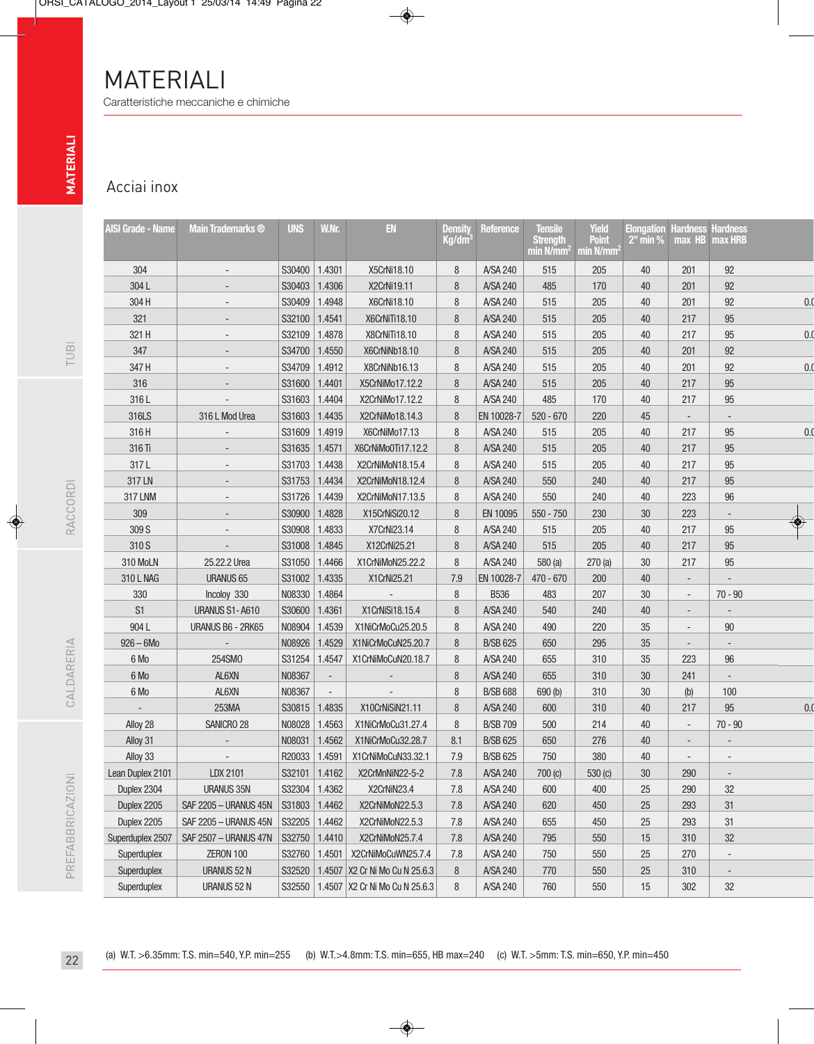## Acciai inox

| <b>AISI Grade - Name</b> | <b>Main Trademarks ®</b> | <b>UNS</b>      | W.Nr.                    | EN                               | <b>Density</b><br>Kg/dm <sup>3</sup> | Reference       | <b>Tensile</b><br><b>Strength</b><br>min N/mm <sup>2</sup> min N/mm <sup>2</sup> | <b>Yield</b><br><b>Point</b> | <b>Elongation Hardness Hardness</b><br>$2"$ min % | $max$ HB                 | max HRB                  |
|--------------------------|--------------------------|-----------------|--------------------------|----------------------------------|--------------------------------------|-----------------|----------------------------------------------------------------------------------|------------------------------|---------------------------------------------------|--------------------------|--------------------------|
| 304                      |                          | S30400          | 1.4301                   | X5CrNi18.10                      | 8                                    | A/SA 240        | 515                                                                              | 205                          | 40                                                | 201                      | 92                       |
| 304L                     |                          | S30403          | 1.4306                   | X2CrNi19.11                      | 8                                    | A/SA 240        | 485                                                                              | 170                          | 40                                                | 201                      | 92                       |
| 304 H                    |                          | S30409          | 1.4948                   | X6CrNi18.10                      | 8                                    | A/SA 240        | 515                                                                              | 205                          | 40                                                | 201                      | 92                       |
| 321                      |                          | S32100          | 1.4541                   | X6CrNiTi18.10                    | 8                                    | A/SA 240        | 515                                                                              | 205                          | 40                                                | 217                      | 95                       |
| 321 H                    |                          | S32109          | 1.4878                   | X8CrNiTi18.10                    | 8                                    | A/SA 240        | 515                                                                              | 205                          | 40                                                | 217                      | 95                       |
| 347                      |                          | S34700          | 1.4550                   | X6CrNiNb18.10                    | 8                                    | A/SA 240        | 515                                                                              | 205                          | 40                                                | 201                      | 92                       |
| 347 H                    |                          | S34709   1.4912 |                          | X8CrNiNb16.13                    | 8                                    | A/SA 240        | 515                                                                              | 205                          | 40                                                | 201                      | 92                       |
| 316                      |                          | S31600          | 1.4401                   | X5CrNiMo17.12.2                  | 8                                    | A/SA 240        | 515                                                                              | 205                          | 40                                                | 217                      | 95                       |
| 316L                     |                          | S31603          | 1.4404                   | X2CrNiMo17.12.2                  | 8                                    | A/SA 240        | 485                                                                              | 170                          | 40                                                | 217                      | 95                       |
| 316LS                    | 316 L Mod Urea           | S31603          | 1.4435                   | X2CrNiMo18.14.3                  | 8                                    | EN 10028-7      | $520 - 670$                                                                      | 220                          | 45                                                |                          |                          |
| 316H                     |                          | S31609          | 1.4919                   | X6CrNiMo17.13                    | 8                                    | A/SA 240        | 515                                                                              | 205                          | 40                                                | 217                      | 95                       |
| 316 Ti                   |                          | S31635          | 1.4571                   | X6CrNiMo0Ti17.12.2               | 8                                    | A/SA 240        | 515                                                                              | 205                          | 40                                                | 217                      | 95                       |
| 317L                     |                          | S31703   1.4438 |                          | X2CrNiMoN18.15.4                 | 8                                    | A/SA 240        | 515                                                                              | 205                          | 40                                                | 217                      | 95                       |
| 317 LN                   |                          | S31753          | 1.4434                   | X2CrNiMoN18.12.4                 | 8                                    | A/SA 240        | 550                                                                              | 240                          | 40                                                | 217                      | 95                       |
| 317 LNM                  |                          | S31726          | 1.4439                   | X2CrNiMoN17.13.5                 | 8                                    | A/SA 240        | 550                                                                              | 240                          | 40                                                | 223                      | 96                       |
| 309                      |                          | S30900          | 1.4828                   | X15CrNiSi20.12                   | 8                                    | EN 10095        | $550 - 750$                                                                      | 230                          | 30                                                | 223                      | $\overline{\phantom{a}}$ |
| 309 S                    |                          | S30908          | 1.4833                   | X7CrNi23.14                      | 8                                    | A/SA 240        | 515                                                                              | 205                          | 40                                                | 217                      | 95                       |
| 310 S                    |                          | S31008          | 1.4845                   | X12CrNi25.21                     | 8                                    | A/SA 240        | 515                                                                              | 205                          | 40                                                | 217                      | 95                       |
| 310 MoLN                 | 25.22.2 Urea             | S31050   1.4466 |                          | X1CrNiMoN25.22.2                 | 8                                    | A/SA 240        | 580(a)                                                                           | 270(a)                       | 30                                                | 217                      | 95                       |
| 310 L NAG                | <b>URANUS 65</b>         | S31002          | 1.4335                   | X1CrNi25.21                      | 7.9                                  | EN 10028-7      | $470 - 670$                                                                      | 200                          | 40                                                | $\overline{\phantom{a}}$ |                          |
| 330                      | Incoloy 330              | N08330          | 1.4864                   |                                  | 8                                    | <b>B536</b>     | 483                                                                              | 207                          | 30                                                | $\overline{a}$           | $70 - 90$                |
| S1                       | URANUS S1-A610           | S30600          | 1.4361                   | X1CrNiSi18.15.4                  | 8                                    | A/SA 240        | 540                                                                              | 240                          | 40                                                |                          |                          |
| 904L                     | URANUS B6 - 2RK65        | N08904          | 1.4539                   | X1NiCrMoCu25.20.5                | 8                                    | A/SA 240        | 490                                                                              | 220                          | 35                                                | $\overline{\phantom{a}}$ | 90                       |
| $926 - 6M0$              | $\mathcal{L}$            | N08926          | 1.4529                   | X1NiCrMoCuN25.20.7               | 8                                    | <b>B/SB 625</b> | 650                                                                              | 295                          | 35                                                | $\overline{\phantom{a}}$ | $\overline{\phantom{a}}$ |
| 6 Mo                     | 254SM0                   | S31254          | 1.4547                   | X1CrNiMoCuN20.18.7               | 8                                    | A/SA 240        | 655                                                                              | 310                          | $35\,$                                            | 223                      | 96                       |
| 6 Mo                     | AL6XN                    | N08367          | $\overline{\phantom{a}}$ |                                  | 8                                    | A/SA 240        | 655                                                                              | 310                          | 30                                                | 241                      | $\overline{\phantom{a}}$ |
| 6 Mo                     | AL6XN                    | N08367          | $\overline{\phantom{a}}$ |                                  | 8                                    | <b>B/SB 688</b> | 690 <sub>(b)</sub>                                                               | 310                          | 30                                                | (b)                      | 100                      |
|                          | 253MA                    | S30815          | 1.4835                   | X10CrNiSiN21.11                  | 8                                    | A/SA 240        | 600                                                                              | 310                          | 40                                                | 217                      | 95                       |
| Alloy 28                 | SANICRO 28               | N08028          | 1.4563                   | X1NiCrMoCu31.27.4                | 8                                    | <b>B/SB 709</b> | 500                                                                              | 214                          | 40                                                | $\overline{\phantom{a}}$ | $70 - 90$                |
| Alloy 31                 |                          | N08031          | 1.4562                   | X1NiCrMoCu32.28.7                | 8.1                                  | <b>B/SB 625</b> | 650                                                                              | 276                          | 40                                                | $\overline{a}$           |                          |
| Alloy 33                 |                          | R20033 1.4591   |                          | X1CrNiMoCuN33.32.1               | 7.9                                  | <b>B/SB 625</b> | 750                                                                              | 380                          | 40                                                |                          |                          |
| Lean Duplex 2101         | LDX 2101                 | S32101 1.4162   |                          | X2CrMnNiN22-5-2                  | 7.8                                  | A/SA 240        | 700 (c)                                                                          | 530(c)                       | 30                                                | 290                      | $\overline{\phantom{a}}$ |
| Duplex 2304              | <b>URANUS 35N</b>        | S32304          | 1.4362                   | X2CrNiN23.4                      | 7.8                                  | A/SA 240        | 600                                                                              | 400                          | 25                                                | 290                      | 32                       |
| Duplex 2205              | SAF 2205 - URANUS 45N    | S31803          | 1.4462                   | X2CrNiMoN22.5.3                  | 7.8                                  | A/SA 240        | 620                                                                              | 450                          | 25                                                | 293                      | 31                       |
| Duplex 2205              | SAF 2205 - URANUS 45N    | S32205          | 1.4462                   | X2CrNiMoN22.5.3                  | 7.8                                  | A/SA 240        | 655                                                                              | 450                          | 25                                                | 293                      | 31                       |
| Superduplex 2507         | SAF 2507 - URANUS 47N    | S32750          | 1.4410                   | X2CrNiMoN25.7.4                  | $7.8$                                | A/SA 240        | 795                                                                              | 550                          | 15                                                | 310                      | 32                       |
| Superduplex              | ZERON 100                | S32760 1.4501   |                          | X2CrNiMoCuWN25.7.4               | 7.8                                  | A/SA 240        | 750                                                                              | 550                          | 25                                                | 270                      | $\overline{\phantom{a}}$ |
| Superduplex              | URANUS 52 N              | S32520          |                          | 1.4507 X2 Cr Ni Mo Cu N 25.6.3   | 8                                    | A/SA 240        | 770                                                                              | 550                          | 25                                                | 310                      | $\overline{\phantom{m}}$ |
| Superduplex              | URANUS 52 N              | S32550          |                          | 1.4507   X2 Cr Ni Mo Cu N 25.6.3 | 8                                    | A/SA 240        | 760                                                                              | 550                          | 15                                                | 302                      | $32\,$                   |